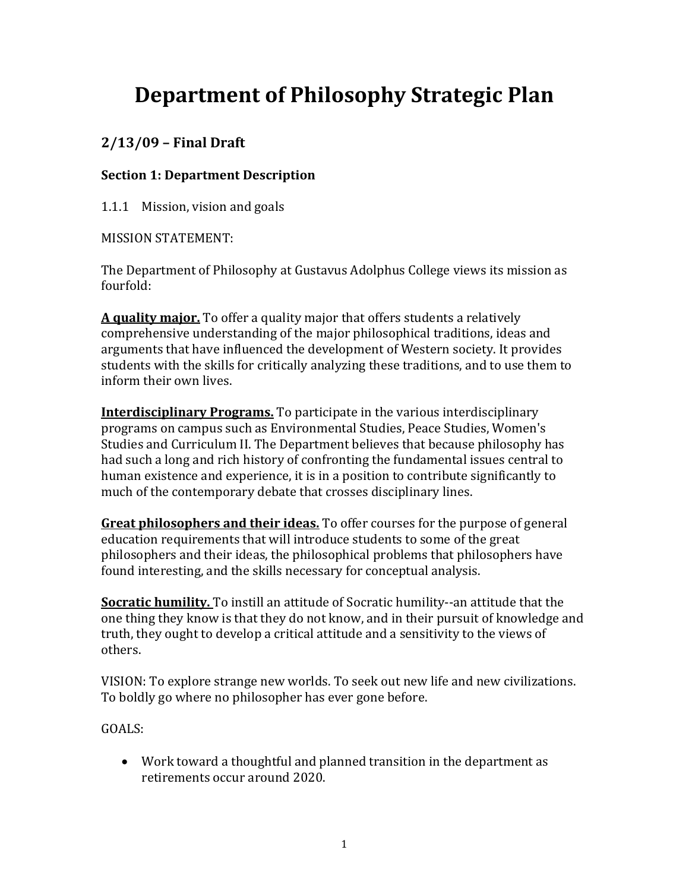# **Department of Philosophy Strategic Plan**

## **2/13/09 – Final Draft**

### **Section 1: Department Description**

1.1.1 Mission, vision and goals

MISSION STATEMENT:

The Department of Philosophy at Gustavus Adolphus College views its mission as fourfold:

**A quality major.** To offer a quality major that offers students a relatively comprehensive understanding of the major philosophical traditions, ideas and arguments that have influenced the development of Western society. It provides students with the skills for critically analyzing these traditions, and to use them to inform their own lives.

**Interdisciplinary Programs.** To participate in the various interdisciplinary programs on campus such as Environmental Studies, Peace Studies, Women's Studies and Curriculum II. The Department believes that because philosophy has had such a long and rich history of confronting the fundamental issues central to human existence and experience, it is in a position to contribute significantly to much of the contemporary debate that crosses disciplinary lines.

**Great philosophers and their ideas.** To offer courses for the purpose of general education requirements that will introduce students to some of the great philosophers and their ideas, the philosophical problems that philosophers have found interesting, and the skills necessary for conceptual analysis.

**Socratic humility.** To instill an attitude of Socratic humility‐‐an attitude that the one thing they know is that they do not know, and in their pursuit of knowledge and truth, they ought to develop a critical attitude and a sensitivity to the views of others.

VISION: To explore strange new worlds. To seek out new life and new civilizations. To boldly go where no philosopher has ever gone before.

GOALS:

 Work toward a thoughtful and planned transition in the department as retirements occur around 2020.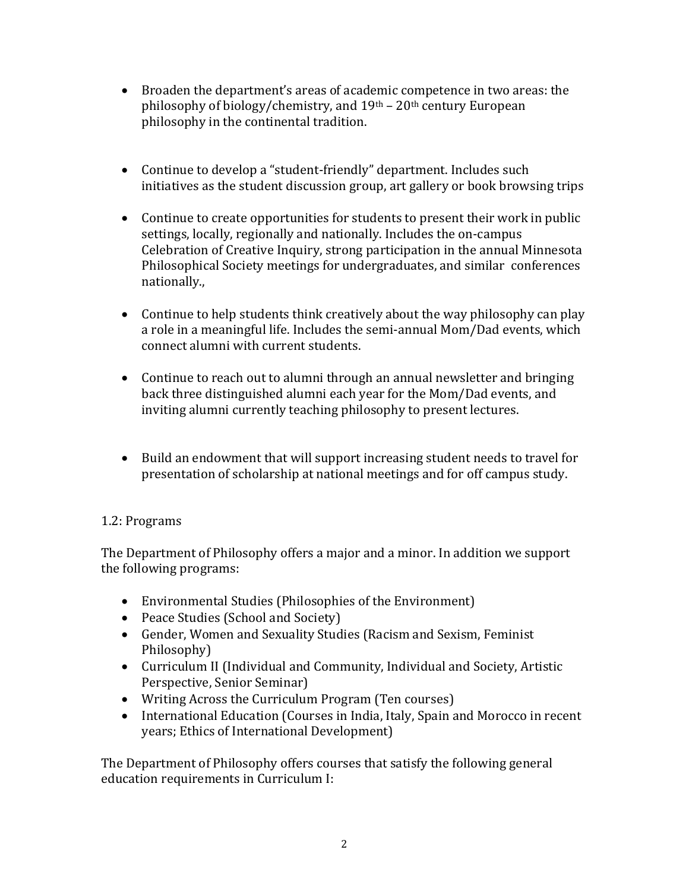- Broaden the department's areas of academic competence in two areas: the philosophy of biology/chemistry, and  $19<sup>th</sup> - 20<sup>th</sup>$  century European philosophy in the continental tradition.
- Continue to develop a "student-friendly" department. Includes such initiatives as the student discussion group, art gallery or book browsing trips
- Continue to create opportunities for students to present their work in public settings, locally, regionally and nationally. Includes the on‐campus Celebration of Creative Inquiry, strong participation in the annual Minnesota Philosophical Society meetings for undergraduates, and similar conferences nationally.,
- Continue to help students think creatively about the way philosophy can play a role in a meaningful life. Includes the semi‐annual Mom/Dad events, which connect alumni with current students.
- Continue to reach out to alumni through an annual newsletter and bringing back three distinguished alumni each year for the Mom/Dad events, and inviting alumni currently teaching philosophy to present lectures.
- Build an endowment that will support increasing student needs to travel for presentation of scholarship at national meetings and for off campus study.

#### 1.2: Programs

The Department of Philosophy offers a major and a minor. In addition we support the following programs:

- Environmental Studies (Philosophies of the Environment)
- Peace Studies (School and Society)
- Gender, Women and Sexuality Studies (Racism and Sexism, Feminist Philosophy)
- Curriculum II (Individual and Community, Individual and Society, Artistic Perspective, Senior Seminar)
- Writing Across the Curriculum Program (Ten courses)
- International Education (Courses in India, Italy, Spain and Morocco in recent years; Ethics of International Development)

The Department of Philosophy offers courses that satisfy the following general education requirements in Curriculum I: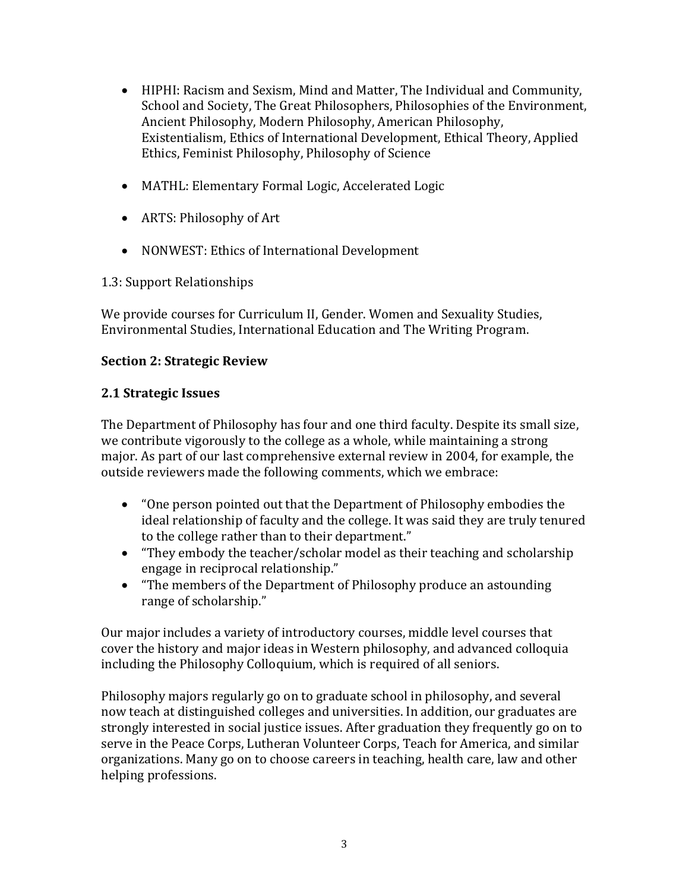- HIPHI: Racism and Sexism, Mind and Matter, The Individual and Community, School and Society, The Great Philosophers, Philosophies of the Environment, Ancient Philosophy, Modern Philosophy, American Philosophy, Existentialism, Ethics of International Development, Ethical Theory, Applied Ethics, Feminist Philosophy, Philosophy of Science
- MATHL: Elementary Formal Logic, Accelerated Logic
- ARTS: Philosophy of Art
- NONWEST: Ethics of International Development

1.3: Support Relationships

We provide courses for Curriculum II, Gender. Women and Sexuality Studies, Environmental Studies, International Education and The Writing Program.

#### **Section 2: Strategic Review**

#### **2.1 Strategic Issues**

The Department of Philosophy has four and one third faculty. Despite its small size, we contribute vigorously to the college as a whole, while maintaining a strong major. As part of our last comprehensive external review in 2004, for example, the outside reviewers made the following comments, which we embrace:

- "One person pointed out that the Department of Philosophy embodies the ideal relationship of faculty and the college. It was said they are truly tenured to the college rather than to their department."
- "They embody the teacher/scholar model as their teaching and scholarship engage in reciprocal relationship."
- "The members of the Department of Philosophy produce an astounding range of scholarship."

Our major includes a variety of introductory courses, middle level courses that cover the history and major ideas in Western philosophy, and advanced colloquia including the Philosophy Colloquium, which is required of all seniors.

Philosophy majors regularly go on to graduate school in philosophy, and several now teach at distinguished colleges and universities. In addition, our graduates are strongly interested in social justice issues. After graduation they frequently go on to serve in the Peace Corps, Lutheran Volunteer Corps, Teach for America, and similar organizations. Many go on to choose careers in teaching, health care, law and other helping professions.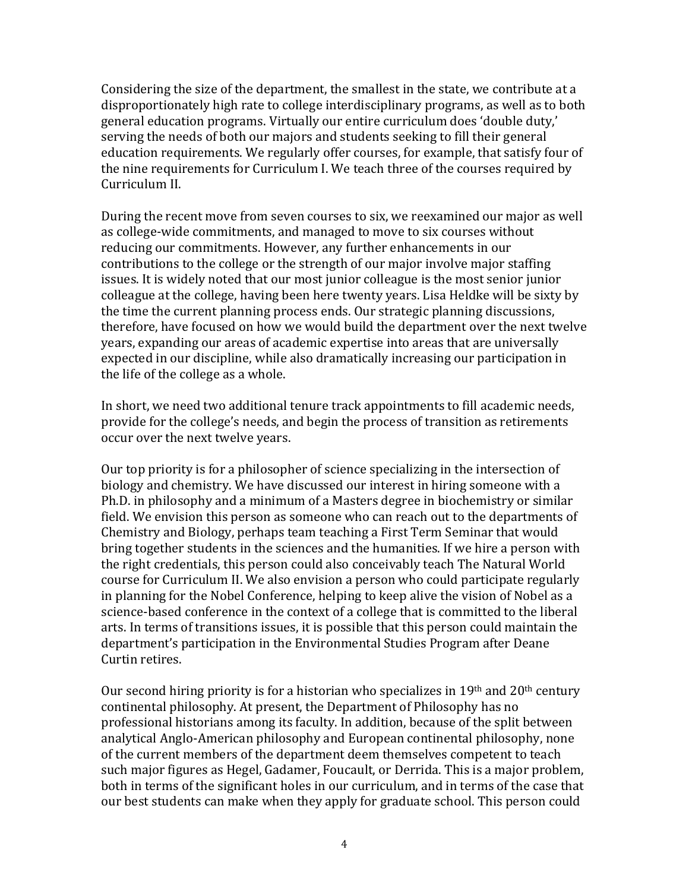Considering the size of the department, the smallest in the state, we contribute at a disproportionately high rate to college interdisciplinary programs, as well as to both general education programs. Virtually our entire curriculum does 'double duty,' serving the needs of both our majors and students seeking to fill their general education requirements. We regularly offer courses, for example, that satisfy four of the nine requirements for Curriculum I. We teach three of the courses required by Curriculum II.

During the recent move from seven courses to six, we reexamined our major as well as college‐wide commitments, and managed to move to six courses without reducing our commitments. However, any further enhancements in our contributions to the college or the strength of our major involve major staffing issues. It is widely noted that our most junior colleague is the most senior junior colleague at the college, having been here twenty years. Lisa Heldke will be sixty by the time the current planning process ends. Our strategic planning discussions, therefore, have focused on how we would build the department over the next twelve years, expanding our areas of academic expertise into areas that are universally expected in our discipline, while also dramatically increasing our participation in the life of the college as a whole.

In short, we need two additional tenure track appointments to fill academic needs, provide for the college's needs, and begin the process of transition as retirements occur over the next twelve years.

Our top priority is for a philosopher of science specializing in the intersection of biology and chemistry. We have discussed our interest in hiring someone with a Ph.D. in philosophy and a minimum of a Masters degree in biochemistry or similar field. We envision this person as someone who can reach out to the departments of Chemistry and Biology, perhaps team teaching a First Term Seminar that would bring together students in the sciences and the humanities. If we hire a person with the right credentials, this person could also conceivably teach The Natural World course for Curriculum II. We also envision a person who could participate regularly in planning for the Nobel Conference, helping to keep alive the vision of Nobel as a science-based conference in the context of a college that is committed to the liberal arts. In terms of transitions issues, it is possible that this person could maintain the department's participation in the Environmental Studies Program after Deane Curtin retires.

Our second hiring priority is for a historian who specializes in  $19<sup>th</sup>$  and  $20<sup>th</sup>$  century continental philosophy. At present, the Department of Philosophy has no professional historians among its faculty. In addition, because of the split between analytical Anglo‐American philosophy and European continental philosophy, none of the current members of the department deem themselves competent to teach such major figures as Hegel, Gadamer, Foucault, or Derrida. This is a major problem, both in terms of the significant holes in our curriculum, and in terms of the case that our best students can make when they apply for graduate school. This person could